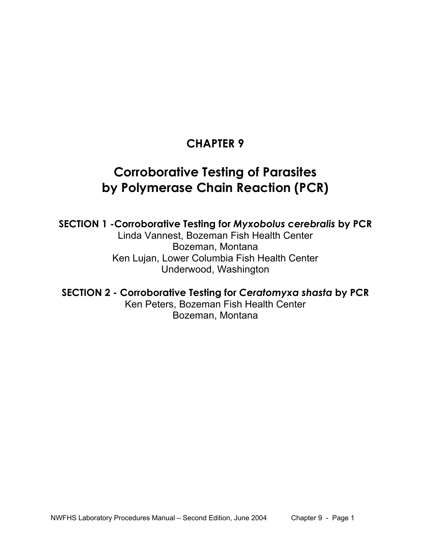# **CHAPTER 9**

# **Corroborative Testing of Parasites by Polymerase Chain Reaction (PCR)**

**SECTION 1 -Corroborative Testing for** *Myxobolus cerebralis* **by PCR**  Linda Vannest, Bozeman Fish Health Center Bozeman, Montana Ken Lujan, Lower Columbia Fish Health Center Underwood, Washington

**SECTION 2 - Corroborative Testing for** *Ceratomyxa shasta* **by PCR**  Ken Peters, Bozeman Fish Health Center Bozeman, Montana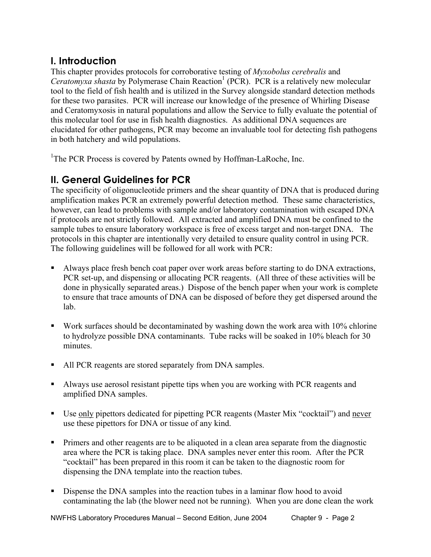# **I. Introduction**

This chapter provides protocols for corroborative testing of *Myxobolus cerebralis* and Ceratomyxa shasta by Polymerase Chain Reaction<sup>1</sup> (PCR). PCR is a relatively new molecular tool to the field of fish health and is utilized in the Survey alongside standard detection methods for these two parasites. PCR will increase our knowledge of the presence of Whirling Disease and Ceratomyxosis in natural populations and allow the Service to fully evaluate the potential of this molecular tool for use in fish health diagnostics. As additional DNA sequences are elucidated for other pathogens, PCR may become an invaluable tool for detecting fish pathogens in both hatchery and wild populations.

<sup>1</sup>The PCR Process is covered by Patents owned by Hoffman-LaRoche, Inc.

# **II. General Guidelines for PCR**

The specificity of oligonucleotide primers and the shear quantity of DNA that is produced during amplification makes PCR an extremely powerful detection method. These same characteristics, however, can lead to problems with sample and/or laboratory contamination with escaped DNA if protocols are not strictly followed. All extracted and amplified DNA must be confined to the sample tubes to ensure laboratory workspace is free of excess target and non-target DNA. The protocols in this chapter are intentionally very detailed to ensure quality control in using PCR. The following guidelines will be followed for all work with PCR:

- Always place fresh bench coat paper over work areas before starting to do DNA extractions, PCR set-up, and dispensing or allocating PCR reagents. (All three of these activities will be done in physically separated areas.) Dispose of the bench paper when your work is complete to ensure that trace amounts of DNA can be disposed of before they get dispersed around the lab.
- Work surfaces should be decontaminated by washing down the work area with 10% chlorine to hydrolyze possible DNA contaminants. Tube racks will be soaked in 10% bleach for 30 minutes.
- All PCR reagents are stored separately from DNA samples.
- Always use aerosol resistant pipette tips when you are working with PCR reagents and amplified DNA samples.
- Use only pipettors dedicated for pipetting PCR reagents (Master Mix "cocktail") and never use these pipettors for DNA or tissue of any kind.
- **Primers and other reagents are to be aliquoted in a clean area separate from the diagnostic** area where the PCR is taking place. DNA samples never enter this room. After the PCR "cocktail" has been prepared in this room it can be taken to the diagnostic room for dispensing the DNA template into the reaction tubes.
- Dispense the DNA samples into the reaction tubes in a laminar flow hood to avoid contaminating the lab (the blower need not be running). When you are done clean the work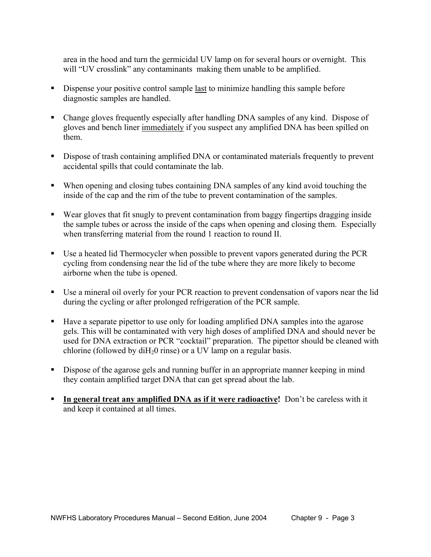area in the hood and turn the germicidal UV lamp on for several hours or overnight. This will "UV crosslink" any contaminants making them unable to be amplified.

- Dispense your positive control sample last to minimize handling this sample before diagnostic samples are handled.
- Change gloves frequently especially after handling DNA samples of any kind. Dispose of gloves and bench liner immediately if you suspect any amplified DNA has been spilled on them.
- Dispose of trash containing amplified DNA or contaminated materials frequently to prevent accidental spills that could contaminate the lab.
- When opening and closing tubes containing DNA samples of any kind avoid touching the inside of the cap and the rim of the tube to prevent contamination of the samples.
- Wear gloves that fit snugly to prevent contamination from baggy fingertips dragging inside the sample tubes or across the inside of the caps when opening and closing them. Especially when transferring material from the round 1 reaction to round II.
- Use a heated lid Thermocycler when possible to prevent vapors generated during the PCR cycling from condensing near the lid of the tube where they are more likely to become airborne when the tube is opened.
- Use a mineral oil overly for your PCR reaction to prevent condensation of vapors near the lid during the cycling or after prolonged refrigeration of the PCR sample.
- Have a separate pipettor to use only for loading amplified DNA samples into the agarose gels. This will be contaminated with very high doses of amplified DNA and should never be used for DNA extraction or PCR "cocktail" preparation. The pipettor should be cleaned with chlorine (followed by  $dH<sub>2</sub>0$  rinse) or a UV lamp on a regular basis.
- Dispose of the agarose gels and running buffer in an appropriate manner keeping in mind they contain amplified target DNA that can get spread about the lab.
- **In general treat any amplified DNA as if it were radioactive!** Don't be careless with it and keep it contained at all times.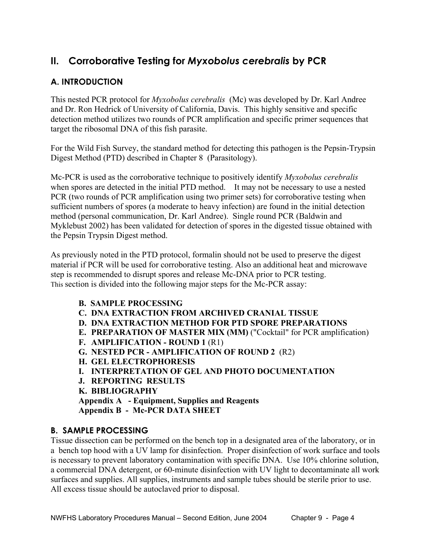# **II. Corroborative Testing for** *Myxobolus cerebralis* **by PCR**

# **A. INTRODUCTION**

This nested PCR protocol for *Myxobolus cerebralis* (Mc) was developed by Dr. Karl Andree and Dr. Ron Hedrick of University of California, Davis. This highly sensitive and specific detection method utilizes two rounds of PCR amplification and specific primer sequences that target the ribosomal DNA of this fish parasite.

For the Wild Fish Survey, the standard method for detecting this pathogen is the Pepsin-Trypsin Digest Method (PTD) described in Chapter 8 (Parasitology).

Mc-PCR is used as the corroborative technique to positively identify *Myxobolus cerebralis* when spores are detected in the initial PTD method. It may not be necessary to use a nested PCR (two rounds of PCR amplification using two primer sets) for corroborative testing when sufficient numbers of spores (a moderate to heavy infection) are found in the initial detection method (personal communication, Dr. Karl Andree). Single round PCR (Baldwin and Myklebust 2002) has been validated for detection of spores in the digested tissue obtained with the Pepsin Trypsin Digest method.

As previously noted in the PTD protocol, formalin should not be used to preserve the digest material if PCR will be used for corroborative testing. Also an additional heat and microwave step is recommended to disrupt spores and release Mc-DNA prior to PCR testing. This section is divided into the following major steps for the Mc-PCR assay:

- **B. SAMPLE PROCESSING**
- **C. DNA EXTRACTION FROM ARCHIVED CRANIAL TISSUE**
- **D. DNA EXTRACTION METHOD FOR PTD SPORE PREPARATIONS**
- **E. PREPARATION OF MASTER MIX (MM)** ("Cocktail" for PCR amplification)
- **F. AMPLIFICATION ROUND 1** (R1)
- **G. NESTED PCR AMPLIFICATION OF ROUND 2** (R2)
- **H. GEL ELECTROPHORESIS**
- **I. INTERPRETATION OF GEL AND PHOTO DOCUMENTATION**
- **J. REPORTING RESULTS**
- **K. BIBLIOGRAPHY**

**Appendix A - Equipment, Supplies and Reagents**

 **Appendix B - Mc-PCR DATA SHEET** 

# **B. SAMPLE PROCESSING**

Tissue dissection can be performed on the bench top in a designated area of the laboratory, or in a bench top hood with a UV lamp for disinfection. Proper disinfection of work surface and tools is necessary to prevent laboratory contamination with specific DNA. Use 10% chlorine solution, a commercial DNA detergent, or 60-minute disinfection with UV light to decontaminate all work surfaces and supplies. All supplies, instruments and sample tubes should be sterile prior to use. All excess tissue should be autoclaved prior to disposal.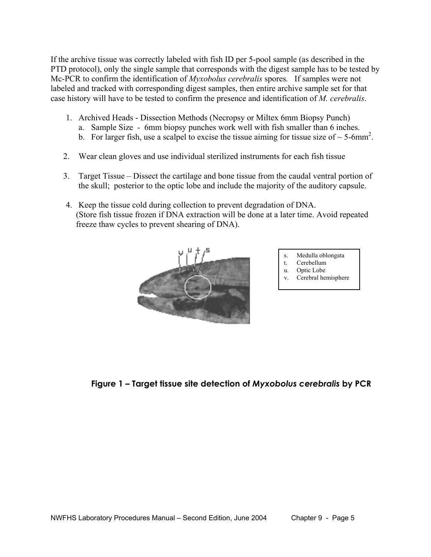If the archive tissue was correctly labeled with fish ID per 5-pool sample (as described in the PTD protocol), only the single sample that corresponds with the digest sample has to be tested by Mc-PCR to confirm the identification of *Myxobolus cerebralis* spores*.* If samples were not labeled and tracked with corresponding digest samples, then entire archive sample set for that case history will have to be tested to confirm the presence and identification of *M. cerebralis*.

- 1. Archived Heads Dissection Methods (Necropsy or Miltex 6mm Biopsy Punch)
	- a. Sample Size 6mm biopsy punches work well with fish smaller than 6 inches.
- b. For larger fish, use a scalpel to excise the tissue aiming for tissue size of  $\sim$  5-6mm<sup>2</sup>.
	- 2. Wear clean gloves and use individual sterilized instruments for each fish tissue
	- 3. Target Tissue Dissect the cartilage and bone tissue from the caudal ventral portion of the skull; posterior to the optic lobe and include the majority of the auditory capsule.
	- 4. Keep the tissue cold during collection to prevent degradation of DNA. (Store fish tissue frozen if DNA extraction will be done at a later time. Avoid repeated freeze thaw cycles to prevent shearing of DNA).



- Medulla oblongata
- t. Cerebellum u. Optic Lobe
- v. Cerebral hemisphere

 **Figure 1 – Target tissue site detection of** *Myxobolus cerebralis* **by PCR**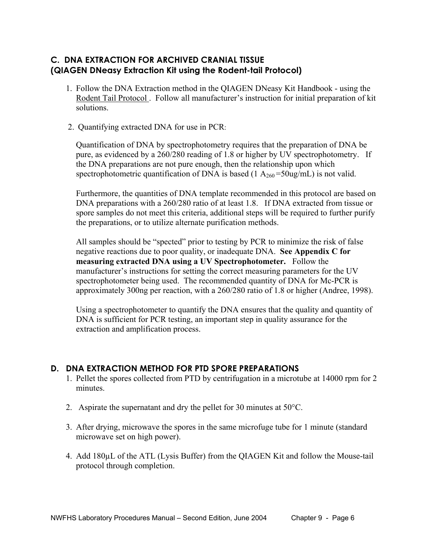# **C. DNA EXTRACTION FOR ARCHIVED CRANIAL TISSUE (QIAGEN DNeasy Extraction Kit using the Rodent-tail Protocol)**

- 1. Follow the DNA Extraction method in the QIAGEN DNeasy Kit Handbook using the Rodent Tail Protocol . Follow all manufacturer's instruction for initial preparation of kit solutions.
- 2. Quantifying extracted DNA for use in PCR:

Quantification of DNA by spectrophotometry requires that the preparation of DNA be pure, as evidenced by a 260/280 reading of 1.8 or higher by UV spectrophotometry. If the DNA preparations are not pure enough, then the relationship upon which spectrophotometric quantification of DNA is based (1  $A_{260} = 50$ ug/mL) is not valid.

Furthermore, the quantities of DNA template recommended in this protocol are based on DNA preparations with a 260/280 ratio of at least 1.8. If DNA extracted from tissue or spore samples do not meet this criteria, additional steps will be required to further purify the preparations, or to utilize alternate purification methods.

All samples should be "spected" prior to testing by PCR to minimize the risk of false negative reactions due to poor quality, or inadequate DNA. **See Appendix C for measuring extracted DNA using a UV Spectrophotometer.** Follow the manufacturer's instructions for setting the correct measuring parameters for the UV spectrophotometer being used. The recommended quantity of DNA for Mc-PCR is approximately 300ng per reaction, with a 260/280 ratio of 1.8 or higher (Andree, 1998).

 Using a spectrophotometer to quantify the DNA ensures that the quality and quantity of DNA is sufficient for PCR testing, an important step in quality assurance for the extraction and amplification process.

# **D. DNA EXTRACTION METHOD FOR PTD SPORE PREPARATIONS**

- 1. Pellet the spores collected from PTD by centrifugation in a microtube at 14000 rpm for 2 minutes.
- 2. Aspirate the supernatant and dry the pellet for 30 minutes at 50°C.
- 3. After drying, microwave the spores in the same microfuge tube for 1 minute (standard microwave set on high power).
- 4. Add 180µL of the ATL (Lysis Buffer) from the QIAGEN Kit and follow the Mouse-tail protocol through completion.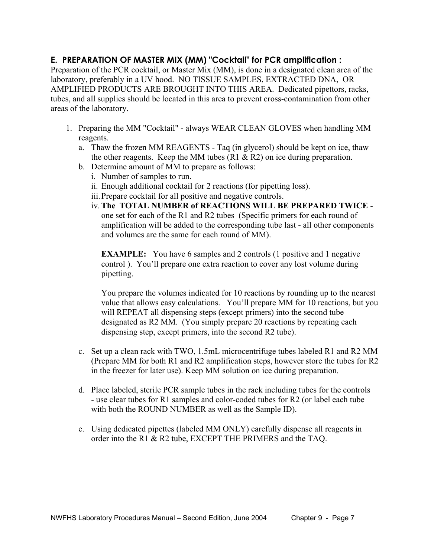# **E. PREPARATION OF MASTER MIX (MM) "Cocktail" for PCR amplification :**

Preparation of the PCR cocktail, or Master Mix (MM), is done in a designated clean area of the laboratory, preferably in a UV hood. NO TISSUE SAMPLES, EXTRACTED DNA, OR AMPLIFIED PRODUCTS ARE BROUGHT INTO THIS AREA. Dedicated pipettors, racks, tubes, and all supplies should be located in this area to prevent cross-contamination from other areas of the laboratory.

- 1. Preparing the MM "Cocktail" always WEAR CLEAN GLOVES when handling MM reagents.
	- a. Thaw the frozen MM REAGENTS Taq (in glycerol) should be kept on ice, thaw the other reagents. Keep the MM tubes (R1  $\&$  R2) on ice during preparation.
	- b. Determine amount of MM to prepare as follows:
		- i. Number of samples to run.
		- ii. Enough additional cocktail for 2 reactions (for pipetting loss).
		- iii. Prepare cocktail for all positive and negative controls.
		- iv. **The TOTAL NUMBER of REACTIONS WILL BE PREPARED TWICE** one set for each of the R1 and R2 tubes (Specific primers for each round of amplification will be added to the corresponding tube last - all other components and volumes are the same for each round of MM).

**EXAMPLE:** You have 6 samples and 2 controls (1 positive and 1 negative control ). You'll prepare one extra reaction to cover any lost volume during pipetting.

You prepare the volumes indicated for 10 reactions by rounding up to the nearest value that allows easy calculations. You'll prepare MM for 10 reactions, but you will REPEAT all dispensing steps (except primers) into the second tube designated as R2 MM. (You simply prepare 20 reactions by repeating each dispensing step, except primers, into the second R2 tube).

- c. Set up a clean rack with TWO, 1.5mL microcentrifuge tubes labeled R1 and R2 MM (Prepare MM for both R1 and R2 amplification steps, however store the tubes for R2 in the freezer for later use). Keep MM solution on ice during preparation.
- d. Place labeled, sterile PCR sample tubes in the rack including tubes for the controls - use clear tubes for R1 samples and color-coded tubes for R2 (or label each tube with both the ROUND NUMBER as well as the Sample ID).
- e. Using dedicated pipettes (labeled MM ONLY) carefully dispense all reagents in order into the R1 & R2 tube, EXCEPT THE PRIMERS and the TAQ.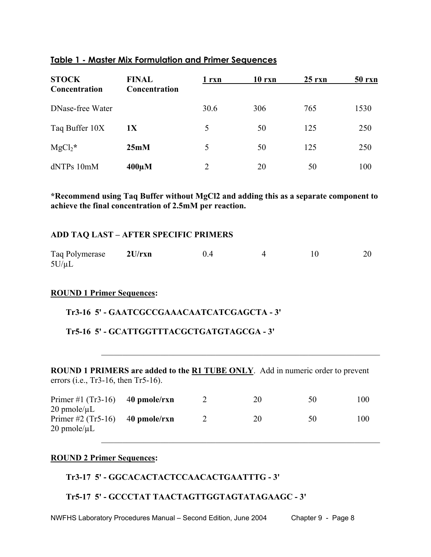| <b>STOCK</b><br>Concentration | <b>FINAL</b><br>Concentration | 1 rxn | 10 rxn | $25$ rxn | <b>50 rxn</b> |
|-------------------------------|-------------------------------|-------|--------|----------|---------------|
| DNase-free Water              |                               | 30.6  | 306    | 765      | 1530          |
| Taq Buffer 10X                | 1X                            | 5     | 50     | 125      | 250           |
| $MgCl2$ *                     | 25mM                          | 5     | 50     | 125      | 250           |
| dNTPs 10mM                    | $400 \mu M$                   | 2     | 20     | 50       | 100           |

#### **Table 1 - Master Mix Formulation and Primer Sequences**

**\*Recommend using Taq Buffer without MgCl2 and adding this as a separate component to achieve the final concentration of 2.5mM per reaction.** 

#### **ADD TAQ LAST – AFTER SPECIFIC PRIMERS**

| Taq Polymerase | 2U/rxn | 04 |  | 20 |
|----------------|--------|----|--|----|
| $5U/\mu L$     |        |    |  |    |

#### **ROUND 1 Primer Sequences:**

#### **Tr3-16 5' - GAATCGCCGAAACAATCATCGAGCTA - 3'**

#### **Tr5-16 5' - GCATTGGTTTACGCTGATGTAGCGA - 3'**

**ROUND 1 PRIMERS are added to the R1 TUBE ONLY**. Add in numeric order to prevent errors (i.e., Tr3-16, then Tr5-16).

 $\mathcal{L}_\text{max} = \mathcal{L}_\text{max} = \mathcal{L}_\text{max} = \mathcal{L}_\text{max} = \mathcal{L}_\text{max} = \mathcal{L}_\text{max} = \mathcal{L}_\text{max} = \mathcal{L}_\text{max} = \mathcal{L}_\text{max} = \mathcal{L}_\text{max} = \mathcal{L}_\text{max} = \mathcal{L}_\text{max} = \mathcal{L}_\text{max} = \mathcal{L}_\text{max} = \mathcal{L}_\text{max} = \mathcal{L}_\text{max} = \mathcal{L}_\text{max} = \mathcal{L}_\text{max} = \mathcal{$ 

| Primer #1 $(Tr3-16)$<br>$20$ pmole/ $\mu$ L | 40 pmole/rxn | 20 | эU | 100 |
|---------------------------------------------|--------------|----|----|-----|
| Primer #2 $(Tr5-16)$<br>$20$ pmole/ $\mu$ L | 40 pmole/rxn | 20 | 50 | 100 |
|                                             |              |    |    |     |

#### **ROUND 2 Primer Sequences:**

#### **Tr3-17 5' - GGCACACTACTCCAACACTGAATTTG - 3'**

#### **Tr5-17 5' - GCCCTAT TAACTAGTTGGTAGTATAGAAGC - 3'**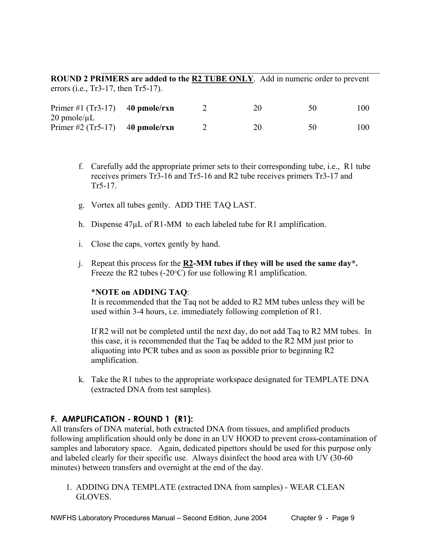**ROUND 2 PRIMERS are added to the R2 TUBE ONLY**. Add in numeric order to prevent errors (i.e., Tr3-17, then Tr5-17).

 $\mathcal{L}_\text{max} = \mathcal{L}_\text{max} = \mathcal{L}_\text{max} = \mathcal{L}_\text{max} = \mathcal{L}_\text{max} = \mathcal{L}_\text{max} = \mathcal{L}_\text{max} = \mathcal{L}_\text{max} = \mathcal{L}_\text{max} = \mathcal{L}_\text{max} = \mathcal{L}_\text{max} = \mathcal{L}_\text{max} = \mathcal{L}_\text{max} = \mathcal{L}_\text{max} = \mathcal{L}_\text{max} = \mathcal{L}_\text{max} = \mathcal{L}_\text{max} = \mathcal{L}_\text{max} = \mathcal{$ 

| Primer #1 $(Tr3-17)$ 40 pmole/rxn                        |  | 20 | 50 | 100- |
|----------------------------------------------------------|--|----|----|------|
| $20$ pmole/ $\mu$ L<br>Primer #2 $(Tr5-17)$ 40 pmole/rxn |  | 20 | 50 | 100  |

- f. Carefully add the appropriate primer sets to their corresponding tube, i.e., R1 tube receives primers Tr3-16 and Tr5-16 and R2 tube receives primers Tr3-17 and Tr5-17.
- g. Vortex all tubes gently. ADD THE TAQ LAST.
- h. Dispense  $47\mu L$  of R1-MM to each labeled tube for R1 amplification.
- i. Close the caps, vortex gently by hand.
- j. Repeat this process for the **R2-MM tubes if they will be used the same day\*.**  Freeze the R2 tubes (-20°C) for use following R1 amplification.

#### \***NOTE on ADDING TAQ**:

 It is recommended that the Taq not be added to R2 MM tubes unless they will be used within 3-4 hours, i.e. immediately following completion of R1.

If R2 will not be completed until the next day, do not add Taq to R2 MM tubes. In this case, it is recommended that the Taq be added to the R2 MM just prior to aliquoting into PCR tubes and as soon as possible prior to beginning R2 amplification.

 k. Take the R1 tubes to the appropriate workspace designated for TEMPLATE DNA (extracted DNA from test samples).

# **F. AMPLIFICATION - ROUND 1 (R1):**

All transfers of DNA material, both extracted DNA from tissues, and amplified products following amplification should only be done in an UV HOOD to prevent cross-contamination of samples and laboratory space. Again, dedicated pipettors should be used for this purpose only and labeled clearly for their specific use. Always disinfect the hood area with UV (30-60 minutes) between transfers and overnight at the end of the day.

 1. ADDING DNA TEMPLATE (extracted DNA from samples) - WEAR CLEAN GLOVES.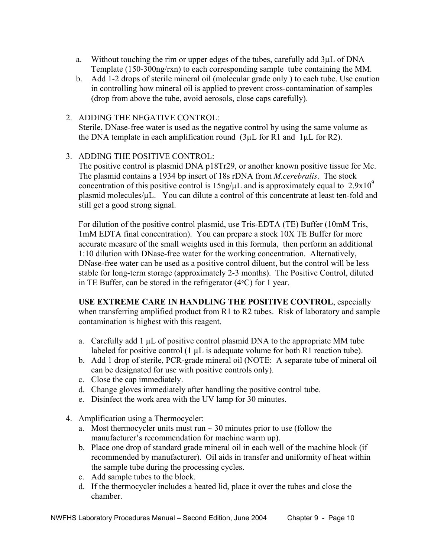- a. Without touching the rim or upper edges of the tubes, carefully add 3µL of DNA Template (150-300ng/rxn) to each corresponding sample tube containing the MM.
- b. Add 1-2 drops of sterile mineral oil (molecular grade only ) to each tube. Use caution in controlling how mineral oil is applied to prevent cross-contamination of samples (drop from above the tube, avoid aerosols, close caps carefully).
- 2. ADDING THE NEGATIVE CONTROL: Sterile, DNase-free water is used as the negative control by using the same volume as the DNA template in each amplification round (3µL for R1 and 1µL for R2).
- 3. ADDING THE POSITIVE CONTROL:

The positive control is plasmid DNA p18Tr29, or another known positive tissue for Mc. The plasmid contains a 1934 bp insert of 18s rDNA from *M.cerebralis*. The stock concentration of this positive control is  $15$ ng/ $\mu$ L and is approximately equal to  $2.9x10^9$ plasmid molecules/ $\mu$ L. You can dilute a control of this concentrate at least ten-fold and still get a good strong signal.

For dilution of the positive control plasmid, use Tris-EDTA (TE) Buffer (10mM Tris, 1mM EDTA final concentration). You can prepare a stock 10X TE Buffer for more accurate measure of the small weights used in this formula, then perform an additional 1:10 dilution with DNase-free water for the working concentration. Alternatively, DNase-free water can be used as a positive control diluent, but the control will be less stable for long-term storage (approximately 2-3 months). The Positive Control, diluted in TE Buffer, can be stored in the refrigerator (4°C) for 1 year.

**USE EXTREME CARE IN HANDLING THE POSITIVE CONTROL**, especially when transferring amplified product from R1 to R2 tubes. Risk of laboratory and sample contamination is highest with this reagent.

- a. Carefully add 1 µL of positive control plasmid DNA to the appropriate MM tube labeled for positive control (1  $\mu$ L is adequate volume for both R1 reaction tube).
- b. Add 1 drop of sterile, PCR-grade mineral oil (NOTE: A separate tube of mineral oil can be designated for use with positive controls only).
- c. Close the cap immediately.
- d. Change gloves immediately after handling the positive control tube.
- e. Disinfect the work area with the UV lamp for 30 minutes.
- 4. Amplification using a Thermocycler:
	- a. Most thermocycler units must run  $\sim$  30 minutes prior to use (follow the manufacturer's recommendation for machine warm up).
	- b. Place one drop of standard grade mineral oil in each well of the machine block (if recommended by manufacturer). Oil aids in transfer and uniformity of heat within the sample tube during the processing cycles.
	- c. Add sample tubes to the block.
	- d. If the thermocycler includes a heated lid, place it over the tubes and close the chamber.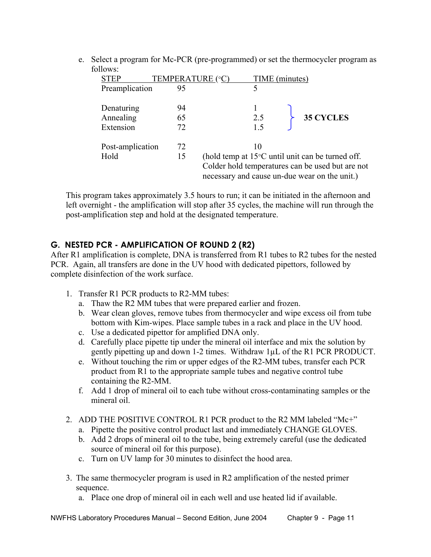e. Select a program for Mc-PCR (pre-programmed) or set the thermocycler program as follows:

| <b>STEP</b>      | TEMPERATURE (°C) | TIME (minutes)                                |                                                            |
|------------------|------------------|-----------------------------------------------|------------------------------------------------------------|
| Preamplication   | 95               | 5                                             |                                                            |
| Denaturing       | 94               |                                               |                                                            |
| Annealing        | 65               | 2.5                                           | <b>35 CYCLES</b>                                           |
| Extension        | 72               | 1.5                                           |                                                            |
| Post-amplication | 72               | 10                                            |                                                            |
| Hold             | 15               |                                               | (hold temp at $15^{\circ}$ C until unit can be turned off. |
|                  |                  | necessary and cause un-due wear on the unit.) | Colder hold temperatures can be used but are not           |

This program takes approximately 3.5 hours to run; it can be initiated in the afternoon and left overnight - the amplification will stop after 35 cycles, the machine will run through the post-amplification step and hold at the designated temperature.

# **G. NESTED PCR - AMPLIFICATION OF ROUND 2 (R2)**

After R1 amplification is complete, DNA is transferred from R1 tubes to R2 tubes for the nested PCR. Again, all transfers are done in the UV hood with dedicated pipettors, followed by complete disinfection of the work surface.

- 1. Transfer R1 PCR products to R2-MM tubes:
	- a. Thaw the R2 MM tubes that were prepared earlier and frozen.
	- b. Wear clean gloves, remove tubes from thermocycler and wipe excess oil from tube bottom with Kim-wipes. Place sample tubes in a rack and place in the UV hood.
	- c. Use a dedicated pipettor for amplified DNA only.
	- d. Carefully place pipette tip under the mineral oil interface and mix the solution by gently pipetting up and down 1-2 times. Withdraw 1µL of the R1 PCR PRODUCT.
	- e. Without touching the rim or upper edges of the R2-MM tubes, transfer each PCR product from R1 to the appropriate sample tubes and negative control tube containing the R2-MM.
	- f. Add 1 drop of mineral oil to each tube without cross-contaminating samples or the mineral oil.
- 2. ADD THE POSITIVE CONTROL R1 PCR product to the R2 MM labeled "Mc+"
	- a. Pipette the positive control product last and immediately CHANGE GLOVES.
	- b. Add 2 drops of mineral oil to the tube, being extremely careful (use the dedicated source of mineral oil for this purpose).
	- c. Turn on UV lamp for 30 minutes to disinfect the hood area.
- 3. The same thermocycler program is used in R2 amplification of the nested primer sequence.
	- a. Place one drop of mineral oil in each well and use heated lid if available.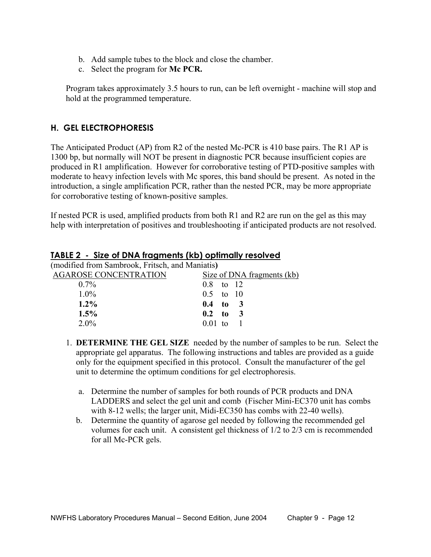- b. Add sample tubes to the block and close the chamber.
- c. Select the program for **Mc PCR.**

Program takes approximately 3.5 hours to run, can be left overnight - machine will stop and hold at the programmed temperature.

# **H. GEL ELECTROPHORESIS**

The Anticipated Product (AP) from R2 of the nested Mc-PCR is 410 base pairs. The R1 AP is 1300 bp, but normally will NOT be present in diagnostic PCR because insufficient copies are produced in R1 amplification. However for corroborative testing of PTD-positive samples with moderate to heavy infection levels with Mc spores, this band should be present. As noted in the introduction, a single amplification PCR, rather than the nested PCR, may be more appropriate for corroborative testing of known-positive samples.

If nested PCR is used, amplified products from both R1 and R2 are run on the gel as this may help with interpretation of positives and troubleshooting if anticipated products are not resolved.

| (modified from Sambrook, Fritsch, and Maniatis) |                            |
|-------------------------------------------------|----------------------------|
| <b>AGAROSE CONCENTRATION</b>                    | Size of DNA fragments (kb) |
| $0.7\%$                                         | $0.8$ to 12                |
| $1.0\%$                                         | $0.5$ to 10                |
| $1.2\%$                                         | $0.4$ to 3                 |
| $1.5\%$                                         | $0.2 \text{ to } 3$        |
| $2.0\%$                                         | $0.01$ to                  |
|                                                 |                            |

#### **TABLE 2 - Size of DNA fragments (kb) optimally resolved**

- 1. **DETERMINE THE GEL SIZE** needed by the number of samples to be run. Select the appropriate gel apparatus. The following instructions and tables are provided as a guide only for the equipment specified in this protocol. Consult the manufacturer of the gel unit to determine the optimum conditions for gel electrophoresis.
	- a. Determine the number of samples for both rounds of PCR products and DNA LADDERS and select the gel unit and comb (Fischer Mini-EC370 unit has combs with 8-12 wells; the larger unit, Midi-EC350 has combs with 22-40 wells).
	- b. Determine the quantity of agarose gel needed by following the recommended gel volumes for each unit. A consistent gel thickness of 1/2 to 2/3 cm is recommended for all Mc-PCR gels.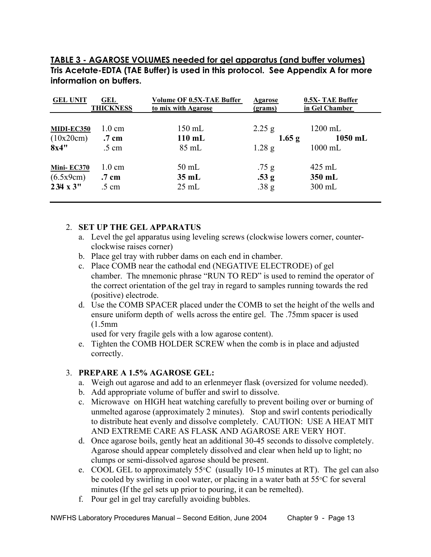**TABLE 3 - AGAROSE VOLUMES needed for gel apparatus (and buffer volumes) Tris Acetate-EDTA (TAE Buffer) is used in this protocol. See Appendix A for more information on buffers.** 

| <b>GEL UNIT</b>  | <b>GEL</b>       | Volume OF 0.5X-TAE Buffer | <b>Agarose</b>   | 0.5X-TAE Buffer |
|------------------|------------------|---------------------------|------------------|-----------------|
|                  | <b>THICKNESS</b> | to mix with Agarose       | <u>(grams)</u>   | in Gel Chamber  |
| MIDI-EC350       | $1.0 \text{ cm}$ | $150$ mL                  | $2.25$ g         | $1200$ mL       |
| (10x20cm)        | .7 cm            | $110$ mL                  | $1.65$ g         | $1050$ mL       |
| 8x4"             | $.5 \text{ cm}$  | $85 \text{ mL}$           | $1.28$ g         | $1000$ mL       |
| Mini-EC370       | $1.0 \text{ cm}$ | $50$ mL                   | .75 <sub>g</sub> | $425$ mL        |
| (6.5x9cm)        | .7 cm            | $35 \text{ mL}$           | .53 <sub>g</sub> | 350 mL          |
| $234 \times 3$ " | $.5 \text{ cm}$  | $25 \text{ mL}$           | .38 <sub>g</sub> | $300$ mL        |

#### 2. **SET UP THE GEL APPARATUS**

- a. Level the gel apparatus using leveling screws (clockwise lowers corner, counter clockwise raises corner)
- b. Place gel tray with rubber dams on each end in chamber.
- c. Place COMB near the cathodal end (NEGATIVE ELECTRODE) of gel chamber. The mnemonic phrase "RUN TO RED" is used to remind the operator of the correct orientation of the gel tray in regard to samples running towards the red (positive) electrode.
- d. Use the COMB SPACER placed under the COMB to set the height of the wells and ensure uniform depth of wells across the entire gel. The .75mm spacer is used (1.5mm

used for very fragile gels with a low agarose content).

 e. Tighten the COMB HOLDER SCREW when the comb is in place and adjusted correctly.

#### 3. **PREPARE A 1.5% AGAROSE GEL:**

- a. Weigh out agarose and add to an erlenmeyer flask (oversized for volume needed).
- b. Add appropriate volume of buffer and swirl to dissolve.
- c. Microwave on HIGH heat watching carefully to prevent boiling over or burning of unmelted agarose (approximately 2 minutes). Stop and swirl contents periodically to distribute heat evenly and dissolve completely. CAUTION: USE A HEAT MIT AND EXTREME CARE AS FLASK AND AGAROSE ARE VERY HOT.
- d. Once agarose boils, gently heat an additional 30-45 seconds to dissolve completely. Agarose should appear completely dissolved and clear when held up to light; no clumps or semi-dissolved agarose should be present.
- e. COOL GEL to approximately 55°C (usually 10-15 minutes at RT). The gel can also be cooled by swirling in cool water, or placing in a water bath at 55°C for several minutes (If the gel sets up prior to pouring, it can be remelted).
- f. Pour gel in gel tray carefully avoiding bubbles.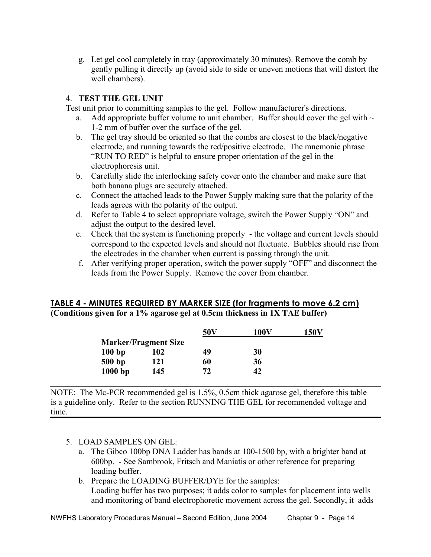g. Let gel cool completely in tray (approximately 30 minutes). Remove the comb by gently pulling it directly up (avoid side to side or uneven motions that will distort the well chambers).

### 4. **TEST THE GEL UNIT**

Test unit prior to committing samples to the gel. Follow manufacturer's directions.

- a. Add appropriate buffer volume to unit chamber. Buffer should cover the gel with  $\sim$ 1-2 mm of buffer over the surface of the gel.
- b. The gel tray should be oriented so that the combs are closest to the black/negative electrode, and running towards the red/positive electrode. The mnemonic phrase "RUN TO RED" is helpful to ensure proper orientation of the gel in the electrophoresis unit.
- b. Carefully slide the interlocking safety cover onto the chamber and make sure that both banana plugs are securely attached.
- c. Connect the attached leads to the Power Supply making sure that the polarity of the leads agrees with the polarity of the output.
- d. Refer to Table 4 to select appropriate voltage, switch the Power Supply "ON" and adjust the output to the desired level.
- e. Check that the system is functioning properly the voltage and current levels should correspond to the expected levels and should not fluctuate. Bubbles should rise from the electrodes in the chamber when current is passing through the unit.
- f. After verifying proper operation, switch the power supply "OFF" and disconnect the leads from the Power Supply. Remove the cover from chamber.

#### **TABLE 4 - MINUTES REQUIRED BY MARKER SIZE (for fragments to move 6.2 cm) (Conditions given for a 1% agarose gel at 0.5cm thickness in 1X TAE buffer)**

|           |                             | 50 <sub>V</sub> | 100V | <b>150V</b> |
|-----------|-----------------------------|-----------------|------|-------------|
|           | <b>Marker/Fragment Size</b> |                 |      |             |
| 100bp     | 102                         | 49              | 30   |             |
| 500 bp    | 121                         | 60              | 36   |             |
| $1000$ bp | 145                         | 72              | 42   |             |

NOTE: The Mc-PCR recommended gel is 1.5%, 0.5cm thick agarose gel, therefore this table is a guideline only. Refer to the section RUNNING THE GEL for recommended voltage and time.

#### 5. LOAD SAMPLES ON GEL:

- a. The Gibco 100bp DNA Ladder has bands at 100-1500 bp, with a brighter band at 600bp. - See Sambrook, Fritsch and Maniatis or other reference for preparing loading buffer.
- b. Prepare the LOADING BUFFER/DYE for the samples: Loading buffer has two purposes; it adds color to samples for placement into wells and monitoring of band electrophoretic movement across the gel. Secondly, it adds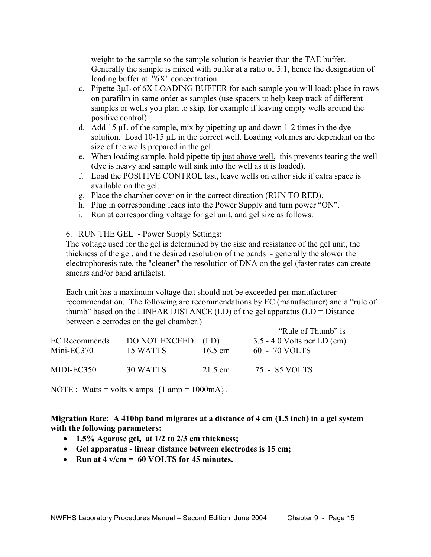weight to the sample so the sample solution is heavier than the TAE buffer. Generally the sample is mixed with buffer at a ratio of 5:1, hence the designation of loading buffer at "6X" concentration.

- c. Pipette 3µL of 6X LOADING BUFFER for each sample you will load; place in rows on parafilm in same order as samples (use spacers to help keep track of different samples or wells you plan to skip, for example if leaving empty wells around the positive control).
- d. Add 15  $\mu$ L of the sample, mix by pipetting up and down 1-2 times in the dye solution. Load 10-15 µL in the correct well. Loading volumes are dependant on the size of the wells prepared in the gel.
- e. When loading sample, hold pipette tip just above well, this prevents tearing the well (dye is heavy and sample will sink into the well as it is loaded).
- f. Load the POSITIVE CONTROL last, leave wells on either side if extra space is available on the gel.
- g. Place the chamber cover on in the correct direction (RUN TO RED).
- h. Plug in corresponding leads into the Power Supply and turn power "ON".
- i. Run at corresponding voltage for gel unit, and gel size as follows:

6. RUN THE GEL - Power Supply Settings:

The voltage used for the gel is determined by the size and resistance of the gel unit, the thickness of the gel, and the desired resolution of the bands - generally the slower the electrophoresis rate, the "cleaner" the resolution of DNA on the gel (faster rates can create smears and/or band artifacts).

Each unit has a maximum voltage that should not be exceeded per manufacturer recommendation. The following are recommendations by EC (manufacturer) and a "rule of thumb" based on the LINEAR DISTANCE (LD) of the gel apparatus (LD = Distance between electrodes on the gel chamber.)

|               |                      |         | "Rule of Thumb" is                 |
|---------------|----------------------|---------|------------------------------------|
| EC Recommends | <b>DO NOT EXCEED</b> |         | <u>3.5 - 4.0 Volts per LD (cm)</u> |
| $Mini$ -EC370 | 15 WATTS             | 16.5 cm | 60 - 70 VOLTS                      |
| MIDI-EC350    | 30 WATTS             | 21.5 cm | 75 - 85 VOLTS                      |

NOTE : Watts = volts x amps  $\{1 \text{ amp} = 1000 \text{mA}\}.$ 

.

#### **Migration Rate: A 410bp band migrates at a distance of 4 cm (1.5 inch) in a gel system with the following parameters:**

- **1.5% Agarose gel, at 1/2 to 2/3 cm thickness;**
- **Gel apparatus linear distance between electrodes is 15 cm;**
- **Run at 4 v/cm = 60 VOLTS for 45 minutes.**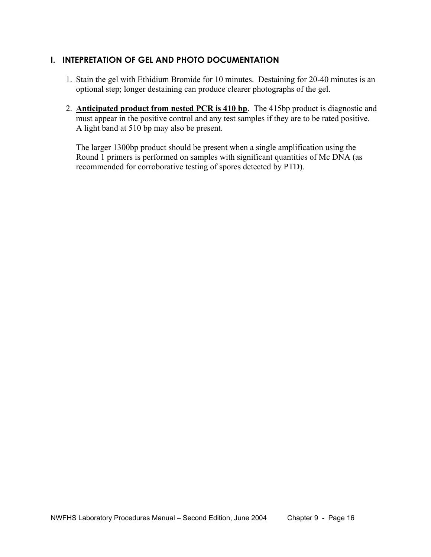# **I. INTEPRETATION OF GEL AND PHOTO DOCUMENTATION**

- 1. Stain the gel with Ethidium Bromide for 10 minutes. Destaining for 20-40 minutes is an optional step; longer destaining can produce clearer photographs of the gel.
- 2. **Anticipated product from nested PCR is 410 bp**. The 415bp product is diagnostic and must appear in the positive control and any test samples if they are to be rated positive. A light band at 510 bp may also be present.

The larger 1300bp product should be present when a single amplification using the Round 1 primers is performed on samples with significant quantities of Mc DNA (as recommended for corroborative testing of spores detected by PTD).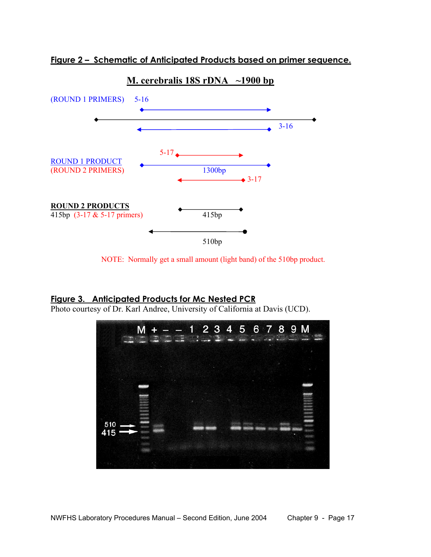



#### **M. cerebralis 18S rDNA ~1900 bp**

NOTE: Normally get a small amount (light band) of the 510bp product.

# **Figure 3. Anticipated Products for Mc Nested PCR**

Photo courtesy of Dr. Karl Andree, University of California at Davis (UCD).

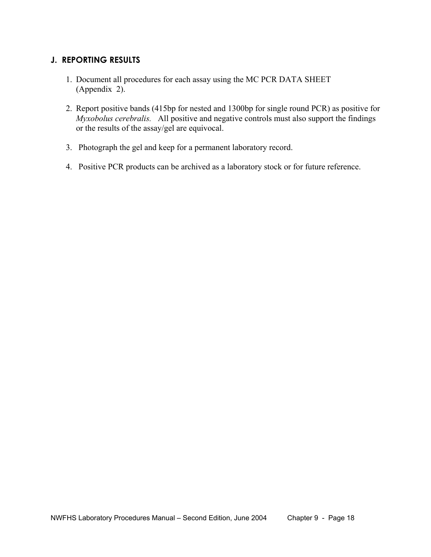# **J. REPORTING RESULTS**

- 1. Document all procedures for each assay using the MC PCR DATA SHEET (Appendix 2).
- 2. Report positive bands (415bp for nested and 1300bp for single round PCR) as positive for *Myxobolus cerebralis.* All positive and negative controls must also support the findings or the results of the assay/gel are equivocal.
- 3. Photograph the gel and keep for a permanent laboratory record.
- 4. Positive PCR products can be archived as a laboratory stock or for future reference.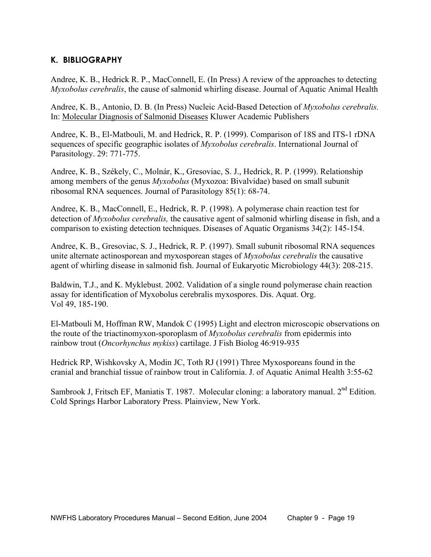# **K. BIBLIOGRAPHY**

Andree, K. B., Hedrick R. P., MacConnell, E. (In Press) A review of the approaches to detecting *Myxobolus cerebralis*, the cause of salmonid whirling disease. Journal of Aquatic Animal Health

Andree, K. B., Antonio, D. B. (In Press) Nucleic Acid-Based Detection of *Myxobolus cerebralis.* In: Molecular Diagnosis of Salmonid Diseases Kluwer Academic Publishers

Andree, K. B., El-Matbouli, M. and Hedrick, R. P. (1999). Comparison of 18S and ITS-1 rDNA sequences of specific geographic isolates of *Myxobolus cerebralis*. International Journal of Parasitology. 29: 771-775.

Andree, K. B., Székely, C., Molnár, K., Gresoviac, S. J., Hedrick, R. P. (1999). Relationship among members of the genus *Myxobolus* (Myxozoa: Bivalvidae) based on small subunit ribosomal RNA sequences. Journal of Parasitology 85(1): 68-74.

Andree, K. B., MacConnell, E., Hedrick, R. P. (1998). A polymerase chain reaction test for detection of *Myxobolus cerebralis,* the causative agent of salmonid whirling disease in fish, and a comparison to existing detection techniques. Diseases of Aquatic Organisms 34(2): 145-154.

Andree, K. B., Gresoviac, S. J., Hedrick, R. P. (1997). Small subunit ribosomal RNA sequences unite alternate actinosporean and myxosporean stages of *Myxobolus cerebralis* the causative agent of whirling disease in salmonid fish. Journal of Eukaryotic Microbiology 44(3): 208-215.

Baldwin, T.J., and K. Myklebust. 2002. Validation of a single round polymerase chain reaction assay for identification of Myxobolus cerebralis myxospores. Dis. Aquat. Org. Vol 49, 185-190.

El-Matbouli M, Hoffman RW, Mandok C (1995) Light and electron microscopic observations on the route of the triactinomyxon-sporoplasm of *Myxobolus cerebralis* from epidermis into rainbow trout (*Oncorhynchus mykiss*) cartilage. J Fish Biolog 46:919-935

Hedrick RP, Wishkovsky A, Modin JC, Toth RJ (1991) Three Myxosporeans found in the cranial and branchial tissue of rainbow trout in California. J. of Aquatic Animal Health 3:55-62

Sambrook J, Fritsch EF, Maniatis T. 1987. Molecular cloning: a laboratory manual. 2<sup>nd</sup> Edition. Cold Springs Harbor Laboratory Press. Plainview, New York.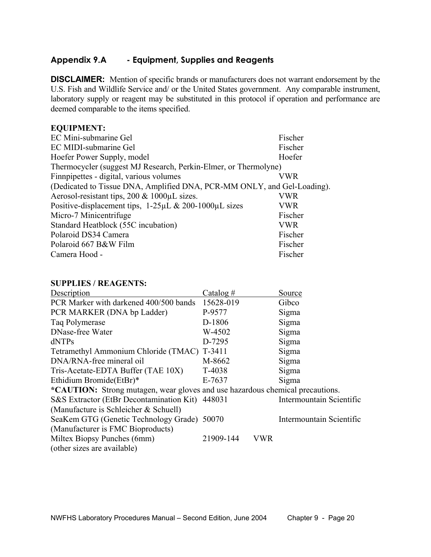# **Appendix 9.A - Equipment, Supplies and Reagents**

**DISCLAIMER:** Mention of specific brands or manufacturers does not warrant endorsement by the U.S. Fish and Wildlife Service and/ or the United States government. Any comparable instrument, laboratory supply or reagent may be substituted in this protocol if operation and performance are deemed comparable to the items specified.

#### **EQUIPMENT:**

| EC Mini-submarine Gel                                                   | Fischer |
|-------------------------------------------------------------------------|---------|
| EC MIDI-submarine Gel                                                   | Fischer |
| Hoefer Power Supply, model                                              | Hoefer  |
| Thermocycler (suggest MJ Research, Perkin-Elmer, or Thermolyne)         |         |
| Finnpipettes - digital, various volumes                                 | VWR     |
| (Dedicated to Tissue DNA, Amplified DNA, PCR-MM ONLY, and Gel-Loading). |         |
| Aerosol-resistant tips, $200 \& 1000 \mu L$ sizes.                      | VWR     |
| Positive-displacement tips, 1-25µL & 200-1000µL sizes                   | VWR     |
| Micro-7 Minicentrifuge                                                  | Fischer |
| Standard Heatblock (55C incubation)                                     | VWR     |
| Polaroid DS34 Camera                                                    | Fischer |
| Polaroid 667 B&W Film                                                   | Fischer |
| Camera Hood -                                                           | Fischer |

#### **SUPPLIES / REAGENTS:**

| Description                                                                   | Catalog $#$ |     | Source                   |
|-------------------------------------------------------------------------------|-------------|-----|--------------------------|
| PCR Marker with darkened 400/500 bands                                        | 15628-019   |     | Gibco                    |
| PCR MARKER (DNA bp Ladder)                                                    | P-9577      |     | Sigma                    |
| Taq Polymerase                                                                | D-1806      |     | Sigma                    |
| DNase-free Water                                                              | W-4502      |     | Sigma                    |
| dNTPs                                                                         | D-7295      |     | Sigma                    |
| Tetramethyl Ammonium Chloride (TMAC) T-3411                                   |             |     | Sigma                    |
| DNA/RNA-free mineral oil                                                      | M-8662      |     | Sigma                    |
| Tris-Acetate-EDTA Buffer (TAE 10X)                                            | T-4038      |     | Sigma                    |
| Ethidium Bromide(EtBr)*                                                       | E-7637      |     | Sigma                    |
| *CAUTION: Strong mutagen, wear gloves and use hazardous chemical precautions. |             |     |                          |
| S&S Extractor (EtBr Decontamination Kit) 448031                               |             |     | Intermountain Scientific |
| (Manufacture is Schleicher $& Schuel()$                                       |             |     |                          |
| SeaKem GTG (Genetic Technology Grade) 50070                                   |             |     | Intermountain Scientific |
| (Manufacturer is FMC Bioproducts)                                             |             |     |                          |
| Miltex Biopsy Punches (6mm)                                                   | 21909-144   | VWR |                          |
| (other sizes are available)                                                   |             |     |                          |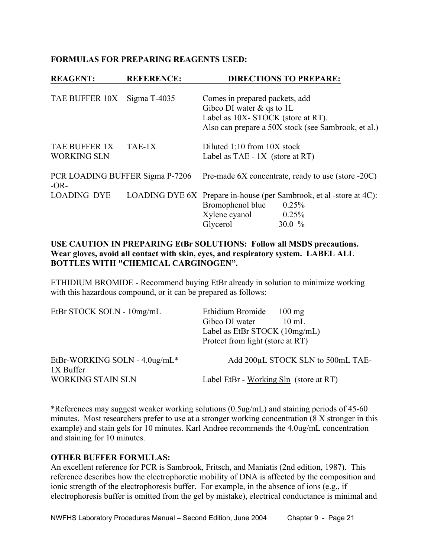#### **FORMULAS FOR PREPARING REAGENTS USED:**

| <b>REAGENT:</b>                           | <b>REFERENCE:</b> |                                                                                                     | <b>DIRECTIONS TO PREPARE:</b>                                                                    |
|-------------------------------------------|-------------------|-----------------------------------------------------------------------------------------------------|--------------------------------------------------------------------------------------------------|
| TAE BUFFER 10X                            | Sigma $T-4035$    | Comes in prepared packets, add<br>Gibco DI water $\&$ qs to 1L<br>Label as 10X-STOCK (store at RT). | Also can prepare a 50X stock (see Sambrook, et al.)                                              |
| TAE BUFFER 1X<br><b>WORKING SLN</b>       | $TAE-1X$          | Diluted 1:10 from 10X stock<br>Label as TAE $-1X$ (store at RT)                                     |                                                                                                  |
| PCR LOADING BUFFER Sigma P-7206<br>$-OR-$ |                   |                                                                                                     | Pre-made 6X concentrate, ready to use (store -20C)                                               |
| <b>LOADING DYE</b>                        |                   | Bromophenol blue<br>Xylene cyanol<br>Glycerol                                                       | LOADING DYE 6X Prepare in-house (per Sambrook, et al-store at 4C):<br>0.25%<br>0.25%<br>30.0 $%$ |

#### **USE CAUTION IN PREPARING EtBr SOLUTIONS: Follow all MSDS precautions. Wear gloves, avoid all contact with skin, eyes, and respiratory system. LABEL ALL BOTTLES WITH "CHEMICAL CARGINOGEN".**

ETHIDIUM BROMIDE - Recommend buying EtBr already in solution to minimize working with this hazardous compound, or it can be prepared as follows:

| EtBr STOCK SOLN - 10mg/mL                  | Ethidium Bromide<br>$100 \text{ mg}$<br>Gibco DI water<br>$10 \text{ mL}$<br>Label as EtBr STOCK $(10mg/mL)$<br>Protect from light (store at RT) |
|--------------------------------------------|--------------------------------------------------------------------------------------------------------------------------------------------------|
| EtBr-WORKING SOLN - 4.0ug/mL*<br>1X Buffer | Add 200µL STOCK SLN to 500mL TAE-                                                                                                                |
| <b>WORKING STAIN SLN</b>                   | Label EtBr - Working Sln (store at RT)                                                                                                           |

\*References may suggest weaker working solutions (0.5ug/mL) and staining periods of 45-60 minutes. Most researchers prefer to use at a stronger working concentration (8 X stronger in this example) and stain gels for 10 minutes. Karl Andree recommends the 4.0ug/mL concentration and staining for 10 minutes.

#### **OTHER BUFFER FORMULAS:**

An excellent reference for PCR is Sambrook, Fritsch, and Maniatis (2nd edition, 1987). This reference describes how the electrophoretic mobility of DNA is affected by the composition and ionic strength of the electrophoresis buffer. For example, in the absence of ions (e.g., if electrophoresis buffer is omitted from the gel by mistake), electrical conductance is minimal and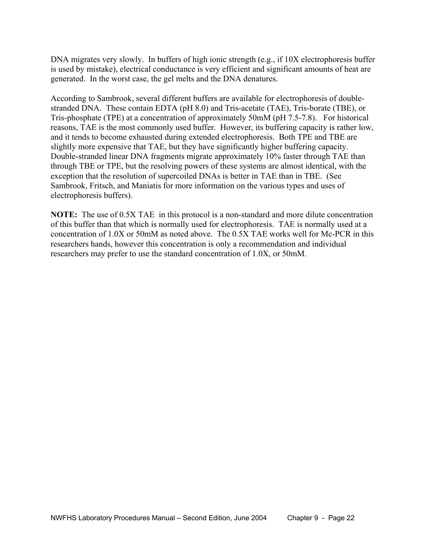DNA migrates very slowly. In buffers of high ionic strength (e.g., if 10X electrophoresis buffer is used by mistake), electrical conductance is very efficient and significant amounts of heat are generated. In the worst case, the gel melts and the DNA denatures.

According to Sambrook, several different buffers are available for electrophoresis of doublestranded DNA. These contain EDTA (pH 8.0) and Tris-acetate (TAE), Tris-borate (TBE), or Tris-phosphate (TPE) at a concentration of approximately 50mM (pH 7.5-7.8). For historical reasons, TAE is the most commonly used buffer. However, its buffering capacity is rather low, and it tends to become exhausted during extended electrophoresis. Both TPE and TBE are slightly more expensive that TAE, but they have significantly higher buffering capacity. Double-stranded linear DNA fragments migrate approximately 10% faster through TAE than through TBE or TPE, but the resolving powers of these systems are almost identical, with the exception that the resolution of supercoiled DNAs is better in TAE than in TBE. (See Sambrook, Fritsch, and Maniatis for more information on the various types and uses of electrophoresis buffers).

**NOTE:** The use of 0.5X TAE in this protocol is a non-standard and more dilute concentration of this buffer than that which is normally used for electrophoresis. TAE is normally used at a concentration of 1.0X or 50mM as noted above. The 0.5X TAE works well for Mc-PCR in this researchers hands, however this concentration is only a recommendation and individual researchers may prefer to use the standard concentration of 1.0X, or 50mM.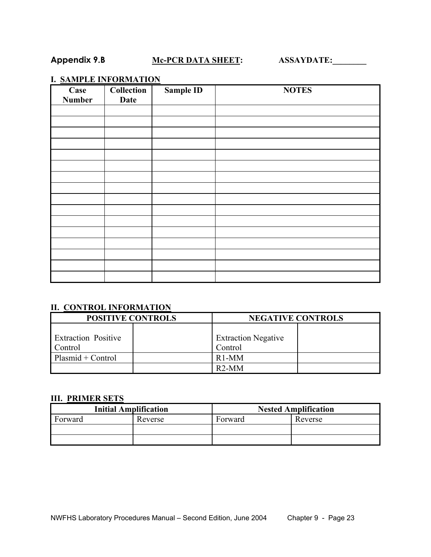# Appendix 9.B **Mc-PCR DATA SHEET:** ASSAYDATE:

# **I. SAMPLE INFORMATION**

| Case<br><b>Number</b> | Collection<br><b>Date</b> | <b>Sample ID</b> | <b>NOTES</b> |
|-----------------------|---------------------------|------------------|--------------|
|                       |                           |                  |              |
|                       |                           |                  |              |
|                       |                           |                  |              |
|                       |                           |                  |              |
|                       |                           |                  |              |
|                       |                           |                  |              |
|                       |                           |                  |              |
|                       |                           |                  |              |
|                       |                           |                  |              |
|                       |                           |                  |              |
|                       |                           |                  |              |
|                       |                           |                  |              |
|                       |                           |                  |              |
|                       |                           |                  |              |
|                       |                           |                  |              |
|                       |                           |                  |              |

# **II. CONTROL INFORMATION**

| <b>POSITIVE CONTROLS</b>              | <b>NEGATIVE CONTROLS</b>              |  |  |  |  |
|---------------------------------------|---------------------------------------|--|--|--|--|
| <b>Extraction Positive</b><br>Control | <b>Extraction Negative</b><br>Control |  |  |  |  |
| $Plasmid + Control$                   | $R1-MM$                               |  |  |  |  |
|                                       | $R2-MM$                               |  |  |  |  |

#### **III. PRIMER SETS**

| <b>Initial Amplification</b> |         | <b>Nested Amplification</b> |         |  |  |  |
|------------------------------|---------|-----------------------------|---------|--|--|--|
| Forward                      | Reverse | Forward                     | Reverse |  |  |  |
|                              |         |                             |         |  |  |  |
|                              |         |                             |         |  |  |  |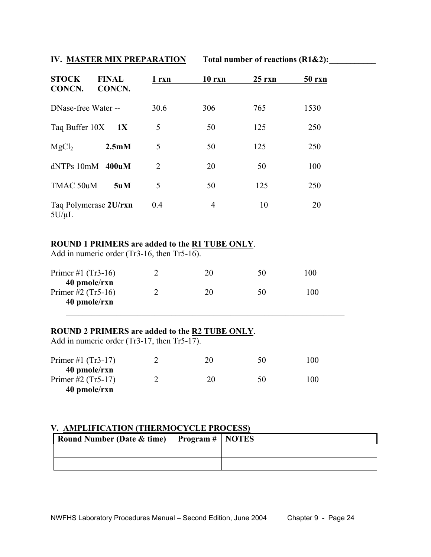### **IV. MASTER MIX PREPARATION** Total number of reactions (R1&2):

| <b>STOCK</b><br>CONCN.              | <b>FINAL</b><br>CONCN. | 1 rxn | $10$ rxn | $25$ rxn | <b>50 rxn</b> |
|-------------------------------------|------------------------|-------|----------|----------|---------------|
| DNase-free Water --                 |                        | 30.6  | 306      | 765      | 1530          |
| Taq Buffer 10X                      | 1X                     | 5     | 50       | 125      | 250           |
| MgCl <sub>2</sub>                   | 2.5 <sub>m</sub> M     | 5     | 50       | 125      | 250           |
| $dNTPs$ 10mM                        | 400uM                  | 2     | 20       | 50       | 100           |
| TMAC 50uM                           | 5uM                    | 5     | 50       | 125      | 250           |
| Taq Polymerase 2U/rxn<br>$5U/\mu L$ |                        | 0.4   | 4        | 10       | 20            |

#### **ROUND 1 PRIMERS are added to the R1 TUBE ONLY**.

Add in numeric order (Tr3-16, then Tr5-16).

| Primer #1 $(Tr3-16)$ | 20 | 50 | 100 |
|----------------------|----|----|-----|
| 40 pmole/rxn         |    |    |     |
| Primer #2 $(Tr5-16)$ | 20 | 50 | 100 |
| 40 pmole/rxn         |    |    |     |

 $\mathcal{L}_\text{max}$  , and the contribution of the contribution of the contribution of the contribution of the contribution of the contribution of the contribution of the contribution of the contribution of the contribution of t

#### **ROUND 2 PRIMERS are added to the R2 TUBE ONLY**.

Add in numeric order (Tr3-17, then Tr5-17).

| Primer #1 $(Tr3-17)$<br>40 pmole/rxn | 20 | 50 | 100 |
|--------------------------------------|----|----|-----|
| Primer #2 $(Tr5-17)$                 | 20 | 50 | 100 |
| 40 pmole/rxn                         |    |    |     |

# **V. AMPLIFICATION (THERMOCYCLE PROCESS)**

| Round Number (Date & time) Program # NOTES |
|--------------------------------------------|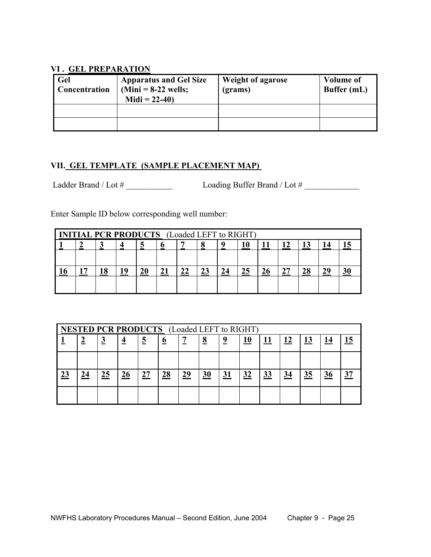#### **VI . GEL PREPARATION**

| Gel<br><b>Concentration</b> | <b>Apparatus and Gel Size</b><br>$(Mini = 8-22$ wells;<br>Midi = $22-40$ ) | Weight of agarose<br>(grams) | <b>Volume of</b><br>Buffer (mL) |
|-----------------------------|----------------------------------------------------------------------------|------------------------------|---------------------------------|
|                             |                                                                            |                              |                                 |
|                             |                                                                            |                              |                                 |

## **VII. GEL TEMPLATE (SAMPLE PLACEMENT MAP)**

Ladder Brand / Lot # \_\_\_\_\_\_\_\_\_\_\_ Loading Buffer Brand / Lot # \_\_\_\_\_\_\_\_\_\_\_\_\_

Enter Sample ID below corresponding well number:

| <b>INITIAL PCR PRODUCTS</b> (Loaded LEFT to RIGHT) |  |  |  |  |  |    |  |    |  |    |  |
|----------------------------------------------------|--|--|--|--|--|----|--|----|--|----|--|
|                                                    |  |  |  |  |  |    |  |    |  |    |  |
|                                                    |  |  |  |  |  |    |  |    |  |    |  |
|                                                    |  |  |  |  |  | 22 |  | 25 |  | ЭC |  |
|                                                    |  |  |  |  |  |    |  |    |  |    |  |

|           | <b>NESTED PCR PRODUCTS</b> (Loaded LEFT to RIGHT) |          |    |          |          |    |                 |           |            |            |    |    |    |  |
|-----------|---------------------------------------------------|----------|----|----------|----------|----|-----------------|-----------|------------|------------|----|----|----|--|
|           |                                                   | <u>ୁ</u> | 4  | <u>5</u> | <u>0</u> | -- | $\underline{8}$ |           | <u> 10</u> | <u> 11</u> |    |    | 14 |  |
|           |                                                   |          |    |          |          |    |                 |           |            |            |    |    |    |  |
| <u>23</u> | 24                                                | 25       | 26 | 27       | 28       | 29 | 30              | <u>31</u> | 32         | <u>33</u>  | 34 | 35 | 36 |  |
|           |                                                   |          |    |          |          |    |                 |           |            |            |    |    |    |  |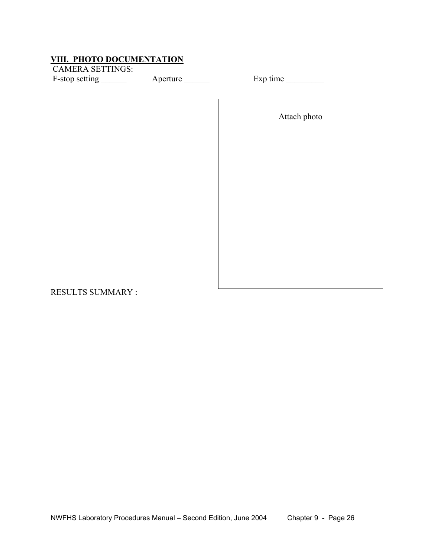# **VIII. PHOTO DOCUMENTATION**

 CAMERA SETTINGS: F-stop setting \_\_\_\_\_\_ Aperture \_\_\_\_\_\_ Exp time \_\_\_\_\_\_\_

Attach photo

RESULTS SUMMARY :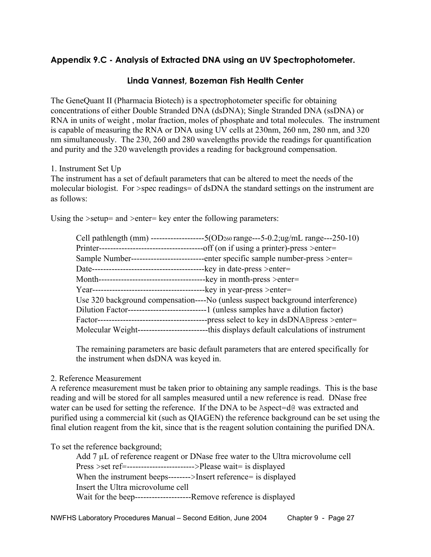# **Appendix 9.C - Analysis of Extracted DNA using an UV Spectrophotometer.**

### **Linda Vannest, Bozeman Fish Health Center**

The GeneQuant II (Pharmacia Biotech) is a spectrophotometer specific for obtaining concentrations of either Double Stranded DNA (dsDNA); Single Stranded DNA (ssDNA) or RNA in units of weight , molar fraction, moles of phosphate and total molecules. The instrument is capable of measuring the RNA or DNA using UV cells at 230nm, 260 nm, 280 nm, and 320 nm simultaneously. The 230, 260 and 280 wavelengths provide the readings for quantification and purity and the 320 wavelength provides a reading for background compensation.

1. Instrument Set Up

The instrument has a set of default parameters that can be altered to meet the needs of the molecular biologist. For >spec readings= of dsDNA the standard settings on the instrument are as follows:

Using the >setup= and >enter= key enter the following parameters:

| Cell pathlength (mm) -------------    | $-5(OD260 range---5-0.2; ug/mL range---250-10)$                                |
|---------------------------------------|--------------------------------------------------------------------------------|
| Printer---                            | -off (on if using a printer)-press >enter=                                     |
| Sample Number--                       | enter specific sample number-press > enter=                                    |
| Date--                                | -key in date-press > enter =                                                   |
| Month-                                | -key in month-press $>$ enter=                                                 |
| Year--                                | -key in year-press > enter=                                                    |
|                                       | Use 320 background compensation----No (unless suspect background interference) |
| Dilution Factor---------------------- | -1 (unless samples have a dilution factor)                                     |
| Factor---                             | -press select to key in dsDNABpress >enter=                                    |
| Molecular Weight--<br>______________  | -this displays default calculations of instrument                              |

The remaining parameters are basic default parameters that are entered specifically for the instrument when dsDNA was keyed in.

#### 2. Reference Measurement

A reference measurement must be taken prior to obtaining any sample readings. This is the base reading and will be stored for all samples measured until a new reference is read. DNase free water can be used for setting the reference. If the DNA to be Aspect=d@ was extracted and purified using a commercial kit (such as QIAGEN) the reference background can be set using the final elution reagent from the kit, since that is the reagent solution containing the purified DNA.

To set the reference background;

Add 7 µL of reference reagent or DNase free water to the Ultra microvolume cell Press >set ref=------------------------>Please wait= is displayed When the instrument beeps-------->Insert reference= is displayed Insert the Ultra microvolume cell Wait for the beep--------------------Remove reference is displayed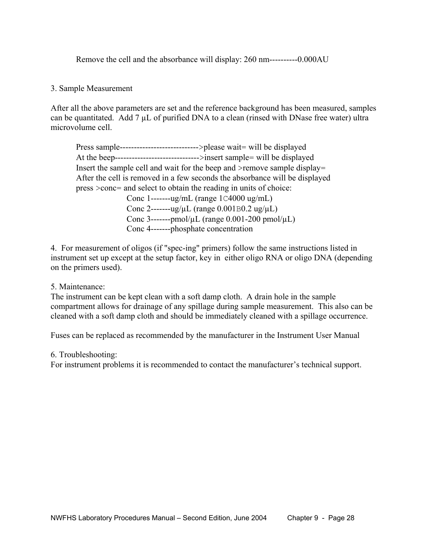Remove the cell and the absorbance will display: 260 nm----------0.000AU

#### 3. Sample Measurement

After all the above parameters are set and the reference background has been measured, samples can be quantitated. Add  $7 \mu L$  of purified DNA to a clean (rinsed with DNase free water) ultra microvolume cell.

Press sample---------------------------->please wait= will be displayed At the beep------------------------------>insert sample= will be displayed Insert the sample cell and wait for the beep and >remove sample display= After the cell is removed in a few seconds the absorbance will be displayed press >conc= and select to obtain the reading in units of choice: Conc 1-------ug/mL (range 1C4000 ug/mL) Conc 2-------ug/µL (range 0.001B0.2 ug/µL) Conc 3-------pmol/ $\mu$ L (range 0.001-200 pmol/ $\mu$ L) Conc 4-------phosphate concentration

4. For measurement of oligos (if "spec-ing" primers) follow the same instructions listed in instrument set up except at the setup factor, key in either oligo RNA or oligo DNA (depending on the primers used).

5. Maintenance:

The instrument can be kept clean with a soft damp cloth. A drain hole in the sample compartment allows for drainage of any spillage during sample measurement. This also can be cleaned with a soft damp cloth and should be immediately cleaned with a spillage occurrence.

Fuses can be replaced as recommended by the manufacturer in the Instrument User Manual

6. Troubleshooting:

For instrument problems it is recommended to contact the manufacturer's technical support.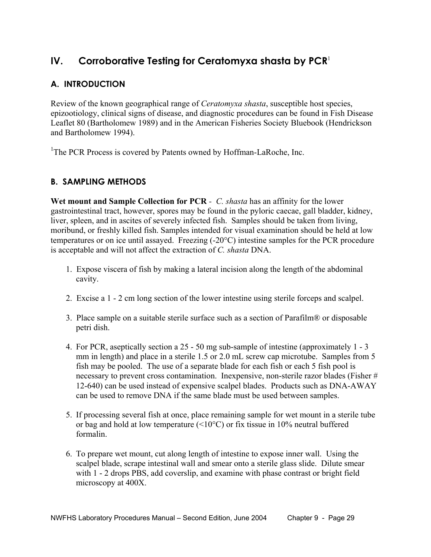# **IV. Corroborative Testing for Ceratomyxa shasta by PCR**<sup>1</sup>

# **A. INTRODUCTION**

Review of the known geographical range of *Ceratomyxa shasta*, susceptible host species, epizootiology, clinical signs of disease, and diagnostic procedures can be found in Fish Disease Leaflet 80 (Bartholomew 1989) and in the American Fisheries Society Bluebook (Hendrickson and Bartholomew 1994).

<sup>1</sup>The PCR Process is covered by Patents owned by Hoffman-LaRoche, Inc.

# **B. SAMPLING METHODS**

**Wet mount and Sample Collection for PCR** *- C. shasta* has an affinity for the lower gastrointestinal tract, however, spores may be found in the pyloric caecae, gall bladder, kidney, liver, spleen, and in ascites of severely infected fish. Samples should be taken from living, moribund, or freshly killed fish. Samples intended for visual examination should be held at low temperatures or on ice until assayed. Freezing (-20°C) intestine samples for the PCR procedure is acceptable and will not affect the extraction of *C. shasta* DNA.

- 1. Expose viscera of fish by making a lateral incision along the length of the abdominal cavity.
- 2. Excise a 1 2 cm long section of the lower intestine using sterile forceps and scalpel.
- 3. Place sample on a suitable sterile surface such as a section of Parafilm® or disposable petri dish.
- 4. For PCR, aseptically section a 25 50 mg sub-sample of intestine (approximately 1 3 mm in length) and place in a sterile 1.5 or 2.0 mL screw cap microtube. Samples from 5 fish may be pooled. The use of a separate blade for each fish or each 5 fish pool is necessary to prevent cross contamination. Inexpensive, non-sterile razor blades (Fisher # 12-640) can be used instead of expensive scalpel blades. Products such as DNA-AWAY can be used to remove DNA if the same blade must be used between samples.
- 5. If processing several fish at once, place remaining sample for wet mount in a sterile tube or bag and hold at low temperature  $(\leq 10^{\circ}C)$  or fix tissue in 10% neutral buffered formalin.
- 6. To prepare wet mount, cut along length of intestine to expose inner wall. Using the scalpel blade, scrape intestinal wall and smear onto a sterile glass slide. Dilute smear with 1 - 2 drops PBS, add coverslip, and examine with phase contrast or bright field microscopy at 400X.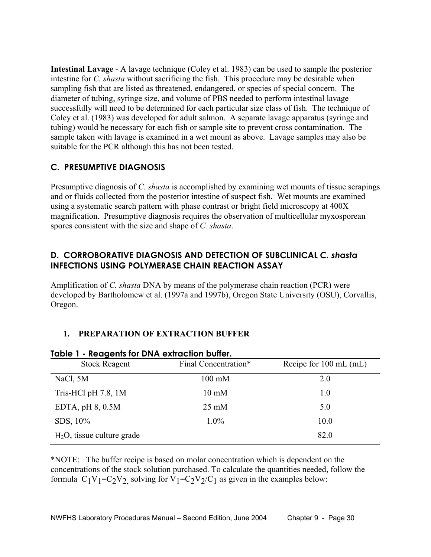**Intestinal Lavage** - A lavage technique (Coley et al. 1983) can be used to sample the posterior intestine for *C. shasta* without sacrificing the fish. This procedure may be desirable when sampling fish that are listed as threatened, endangered, or species of special concern. The diameter of tubing, syringe size, and volume of PBS needed to perform intestinal lavage successfully will need to be determined for each particular size class of fish. The technique of Coley et al. (1983) was developed for adult salmon. A separate lavage apparatus (syringe and tubing) would be necessary for each fish or sample site to prevent cross contamination. The sample taken with lavage is examined in a wet mount as above. Lavage samples may also be suitable for the PCR although this has not been tested.

# **C. PRESUMPTIVE DIAGNOSIS**

Presumptive diagnosis of *C. shasta* is accomplished by examining wet mounts of tissue scrapings and or fluids collected from the posterior intestine of suspect fish. Wet mounts are examined using a systematic search pattern with phase contrast or bright field microscopy at 400X magnification. Presumptive diagnosis requires the observation of multicellular myxosporean spores consistent with the size and shape of *C. shasta*.

# **D. CORROBORATIVE DIAGNOSIS AND DETECTION OF SUBCLINICAL** *C. shasta* **INFECTIONS USING POLYMERASE CHAIN REACTION ASSAY**

Amplification of *C. shasta* DNA by means of the polymerase chain reaction (PCR) were developed by Bartholomew et al. (1997a and 1997b), Oregon State University (OSU), Corvallis, Oregon.

# **1. PREPARATION OF EXTRACTION BUFFER**

| <u><b>IQUIC I - REUGEIIIS IUI DIVA EXIIUCIIUII DUIIEI.</b></u> |                      |                                  |  |
|----------------------------------------------------------------|----------------------|----------------------------------|--|
| <b>Stock Reagent</b>                                           | Final Concentration* | Recipe for $100 \text{ mL (mL)}$ |  |
| NaCl, 5M                                                       | $100 \text{ mM}$     | 2.0                              |  |
| Tris-HCl pH $7.8$ , 1M                                         | $10 \text{ mM}$      | 1.0                              |  |
| EDTA, $pH$ 8, 0.5M                                             | $25 \text{ mM}$      | 5.0                              |  |
| SDS, 10%                                                       | $1.0\%$              | 10.0                             |  |
| $H_2O$ , tissue culture grade                                  |                      | 82.0                             |  |
|                                                                |                      |                                  |  |

# **Table 1 - Reagents for DNA extraction buffer.**

\*NOTE: The buffer recipe is based on molar concentration which is dependent on the concentrations of the stock solution purchased. To calculate the quantities needed, follow the formula  $C_1V_1=C_2V_2$  solving for  $V_1=C_2V_2/C_1$  as given in the examples below: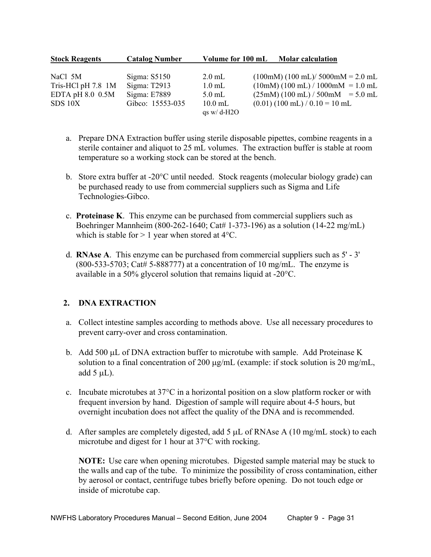| <b>Stock Reagents</b> | <b>Catalog Number</b> | Volume for 100 mL         | <b>Molar calculation</b>                                           |
|-----------------------|-----------------------|---------------------------|--------------------------------------------------------------------|
| NaCl 5M               | Sigma: $S5150$        | $2.0$ mL                  | $(100 \text{m}) (100 \text{ mL}) / 5000 \text{m} = 2.0 \text{ mL}$ |
| Tris-HCl pH 7.8 1M    | Sigma: $T2913$        | $1.0$ mL                  | $(10mM) (100 mL) / 1000mM = 1.0 mL$                                |
| EDTA pH $8.0$ 0.5M    | Sigma: E7889          | $5.0$ mL                  | $(25mM) (100 mL) / 500mM = 5.0 mL$                                 |
| SDS 10X               | Gibco: 15553-035      | $10.0$ mL<br>as $w/d-H2O$ | $(0.01)$ (100 mL) / 0.10 = 10 mL                                   |

- a. Prepare DNA Extraction buffer using sterile disposable pipettes, combine reagents in a sterile container and aliquot to 25 mL volumes. The extraction buffer is stable at room temperature so a working stock can be stored at the bench.
- b. Store extra buffer at -20°C until needed. Stock reagents (molecular biology grade) can be purchased ready to use from commercial suppliers such as Sigma and Life Technologies-Gibco.
- c. **Proteinase K**. This enzyme can be purchased from commercial suppliers such as Boehringer Mannheim (800-262-1640; Cat# 1-373-196) as a solution (14-22 mg/mL) which is stable for  $> 1$  year when stored at 4 $\rm ^{o}C$ .
- d. **RNAse A**. This enzyme can be purchased from commercial suppliers such as 5' 3'  $(800-533-5703; \text{Cat}\# 5-888777)$  at a concentration of 10 mg/mL. The enzyme is available in a 50% glycerol solution that remains liquid at -20°C.

# **2. DNA EXTRACTION**

- a. Collect intestine samples according to methods above. Use all necessary procedures to prevent carry-over and cross contamination.
- b. Add 500 µL of DNA extraction buffer to microtube with sample. Add Proteinase K solution to a final concentration of 200 µg/mL (example: if stock solution is 20 mg/mL, add  $5 \mu L$ ).
- c. Incubate microtubes at 37°C in a horizontal position on a slow platform rocker or with frequent inversion by hand. Digestion of sample will require about 4-5 hours, but overnight incubation does not affect the quality of the DNA and is recommended.
- d. After samples are completely digested, add 5  $\mu$ L of RNAse A (10 mg/mL stock) to each microtube and digest for 1 hour at 37°C with rocking.

**NOTE:** Use care when opening microtubes. Digested sample material may be stuck to the walls and cap of the tube. To minimize the possibility of cross contamination, either by aerosol or contact, centrifuge tubes briefly before opening. Do not touch edge or inside of microtube cap.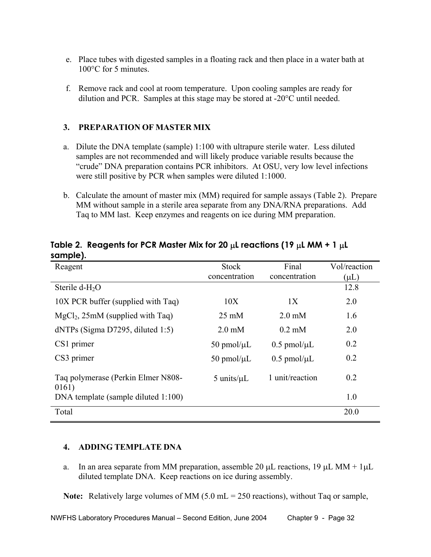- e. Place tubes with digested samples in a floating rack and then place in a water bath at 100°C for 5 minutes.
- f. Remove rack and cool at room temperature. Upon cooling samples are ready for dilution and PCR. Samples at this stage may be stored at -20°C until needed.

## **3. PREPARATION OF MASTER MIX**

- a. Dilute the DNA template (sample) 1:100 with ultrapure sterile water. Less diluted samples are not recommended and will likely produce variable results because the "crude" DNA preparation contains PCR inhibitors. At OSU, very low level infections were still positive by PCR when samples were diluted 1:1000.
- b. Calculate the amount of master mix (MM) required for sample assays (Table 2). Prepare MM without sample in a sterile area separate from any DNA/RNA preparations. Add Taq to MM last. Keep enzymes and reagents on ice during MM preparation.

| Reagent                                     | <b>Stock</b>       | Final               | Vol/reaction |
|---------------------------------------------|--------------------|---------------------|--------------|
|                                             | concentration      | concentration       | $(\mu L)$    |
| Sterile $d-H2O$                             |                    |                     | 12.8         |
| 10X PCR buffer (supplied with Taq)          | 10X                | 1X                  | 2.0          |
| $MgCl2$ , 25mM (supplied with Taq)          | $25 \text{ mM}$    | $2.0 \text{ mM}$    | 1.6          |
| $dNTPs$ (Sigma D7295, diluted 1:5)          | $2.0 \text{ mM}$   | $0.2 \text{ mM}$    | 2.0          |
| CS1 primer                                  | $50$ pmol/ $\mu$ L | $0.5$ pmol/ $\mu$ L | 0.2          |
| CS3 primer                                  | $50$ pmol/ $\mu$ L | $0.5$ pmol/ $\mu$ L | 0.2          |
| Taq polymerase (Perkin Elmer N808-<br>0161) | 5 units/ $\mu$ L   | 1 unit/reaction     | 0.2          |
| DNA template (sample diluted 1:100)         |                    |                     | 1.0          |
| Total                                       |                    |                     | 20.0         |

### **Table 2. Reagents for PCR Master Mix for 20** µ**L reactions (19** µ**L MM + 1** µ**L sample).**

#### **4. ADDING TEMPLATE DNA**

a. In an area separate from MM preparation, assemble 20  $\mu$ L reactions, 19  $\mu$ L MM + 1 $\mu$ L diluted template DNA. Keep reactions on ice during assembly.

Note: Relatively large volumes of MM (5.0 mL = 250 reactions), without Taq or sample,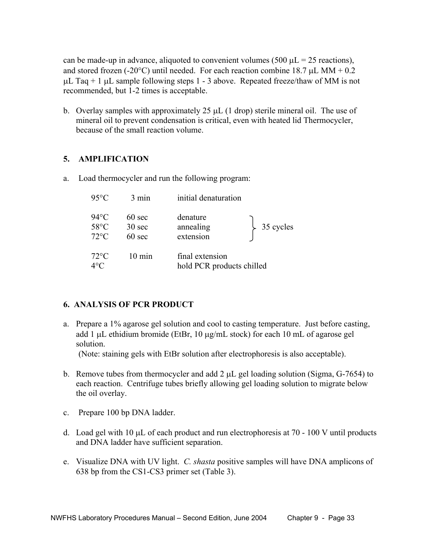can be made-up in advance, aliquoted to convenient volumes (500  $\mu$ L = 25 reactions), and stored frozen (-20 $^{\circ}$ C) until needed. For each reaction combine 18.7 µL MM + 0.2  $\mu$ L Taq + 1  $\mu$ L sample following steps 1 - 3 above. Repeated freeze/thaw of MM is not recommended, but 1-2 times is acceptable.

 b. Overlay samples with approximately 25 µL (1 drop) sterile mineral oil. The use of mineral oil to prevent condensation is critical, even with heated lid Thermocycler, because of the small reaction volume.

#### **5. AMPLIFICATION**

a. Load thermocycler and run the following program:

| $95^{\circ}$ C                                     | $3 \text{ min}$                                          | initial denaturation                         |           |
|----------------------------------------------------|----------------------------------------------------------|----------------------------------------------|-----------|
| $94^{\circ}$ C<br>$58^{\circ}$ C<br>$72^{\circ}$ C | $60 \text{ sec}$<br>$30 \text{ sec}$<br>$60 \text{ sec}$ | denature<br>annealing<br>extension           | 35 cycles |
| $72^{\circ}$ C<br>$4^{\circ}C$                     | $10 \text{ min}$                                         | final extension<br>hold PCR products chilled |           |

# **6. ANALYSIS OF PCR PRODUCT**

 a. Prepare a 1% agarose gel solution and cool to casting temperature. Just before casting, add 1 µL ethidium bromide (EtBr, 10 µg/mL stock) for each 10 mL of agarose gel solution.

(Note: staining gels with EtBr solution after electrophoresis is also acceptable).

- b. Remove tubes from thermocycler and add  $2 \mu L$  gel loading solution (Sigma, G-7654) to each reaction. Centrifuge tubes briefly allowing gel loading solution to migrate below the oil overlay.
- c. Prepare 100 bp DNA ladder.
- d. Load gel with 10  $\mu$ L of each product and run electrophoresis at 70 100 V until products and DNA ladder have sufficient separation.
- e. Visualize DNA with UV light. *C. shasta* positive samples will have DNA amplicons of 638 bp from the CS1-CS3 primer set (Table 3).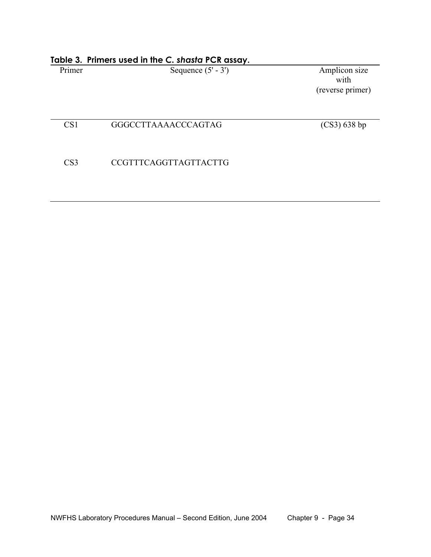| Primer          | Sequence $(5' - 3')$         | Amplicon size<br>with<br>(reverse primer) |
|-----------------|------------------------------|-------------------------------------------|
| CS <sub>1</sub> | GGGCCTTAAAACCCAGTAG          | $(CS3)$ 638 bp                            |
| CS <sub>3</sub> | <b>CCGTTTCAGGTTAGTTACTTG</b> |                                           |
|                 |                              |                                           |

# **Table 3. Primers used in the** *C. shasta* **PCR assay.**